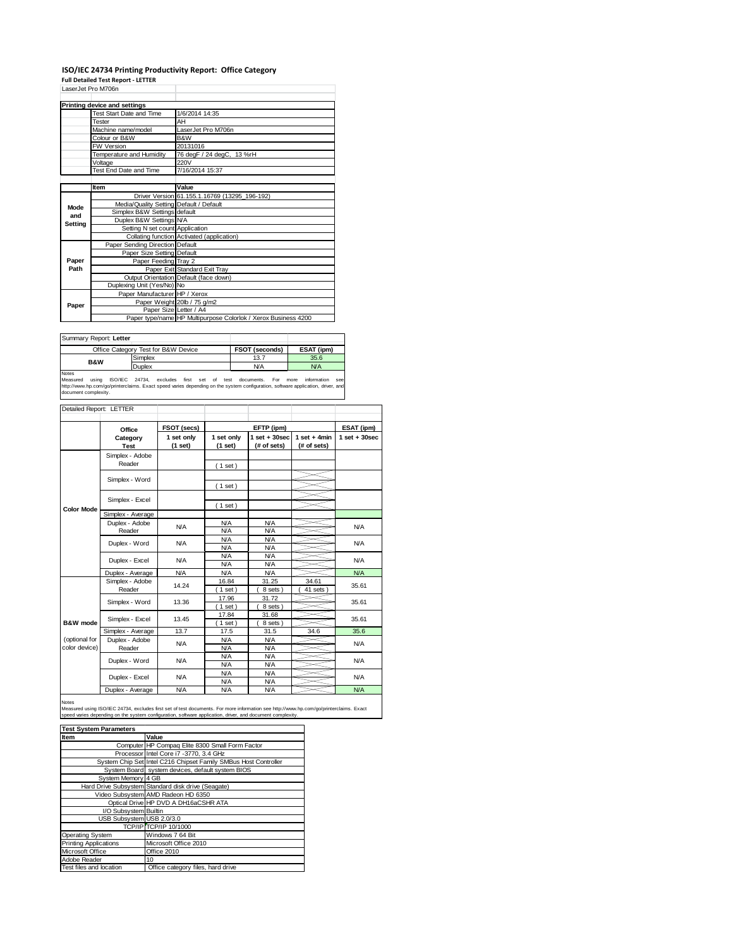## **ISO/IEC 24734 Printing Productivity Report: Office Category**

**Full Detailed Test Report ‐ LETTER** LaserJet Pro M706n

|         | LaserJet Pro M/Ubn                      |                                                                |  |  |  |
|---------|-----------------------------------------|----------------------------------------------------------------|--|--|--|
|         | Printing device and settings            |                                                                |  |  |  |
|         | Test Start Date and Time                | 1/6/2014 14:35                                                 |  |  |  |
|         | Tester                                  | AH                                                             |  |  |  |
|         | Machine name/model                      | LaserJet Pro M706n                                             |  |  |  |
|         | Colour or B&W                           | B&W                                                            |  |  |  |
|         | <b>FW Version</b>                       | 20131016                                                       |  |  |  |
|         | Temperature and Humidity                | 76 degF / 24 degC, 13 %rH                                      |  |  |  |
|         | Voltage                                 | 220V                                                           |  |  |  |
|         | Test End Date and Time                  | 7/16/2014 15:37                                                |  |  |  |
|         |                                         |                                                                |  |  |  |
|         | Item                                    | Value                                                          |  |  |  |
|         |                                         | Driver Version 61.155.1.16769 (13295_196-192)                  |  |  |  |
| Mode    | Media/Quality Setting Default / Default |                                                                |  |  |  |
| and     | Simplex B&W Settings default            |                                                                |  |  |  |
| Setting | Duplex B&W Settings N/A                 |                                                                |  |  |  |
|         | Setting N set count Application         |                                                                |  |  |  |
|         |                                         | Collating function Activated (application)                     |  |  |  |
|         | Paper Sending Direction Default         |                                                                |  |  |  |
|         | Paper Size Setting Default              |                                                                |  |  |  |
| Paper   | Paper Feeding Tray 2                    |                                                                |  |  |  |
| Path    |                                         | Paper Exit Standard Exit Tray                                  |  |  |  |
|         |                                         | Output Orientation Default (face down)                         |  |  |  |
|         | Duplexing Unit (Yes/No) No              |                                                                |  |  |  |
|         | Paper Manufacturer HP / Xerox           |                                                                |  |  |  |
| Paper   |                                         | Paper Weight 20lb / 75 g/m2                                    |  |  |  |
|         | Paper Size Letter / A4                  |                                                                |  |  |  |
|         |                                         | Paper type/name HP Multipurpose Colorlok / Xerox Business 4200 |  |  |  |

| Summary Report: Letter |                                     |                |            |
|------------------------|-------------------------------------|----------------|------------|
|                        | Office Category Test for B&W Device | FSOT (seconds) | ESAT (ipm) |
| <b>B&amp;W</b>         | Simplex                             | 13.7           | 35.6       |
|                        | Duplex                              | <b>N/A</b>     | N/A        |
| Notes                  |                                     |                |            |

Notes<br>Measured using ISO/IEC 24734, excludes first set of test documents. For more information see<br>http://www.hp.com/go/printerclaims.Exactspeed-varies-depending.on.the.system.configuration,software.application,driver,and<br>

| Detailed Report: LETTER        |                                        |                       |                          |                                   |                               |                   |
|--------------------------------|----------------------------------------|-----------------------|--------------------------|-----------------------------------|-------------------------------|-------------------|
|                                | Office                                 | FSOT (secs)           |                          | EFTP (ipm)                        |                               | ESAT (ipm)        |
|                                | Category<br>Test                       | 1 set only<br>(1 set) | 1 set only<br>(1 set)    | $1$ set + $30$ sec<br>(# of sets) | 1 set $+4$ min<br>(# of sets) | $1$ set $+30$ sec |
|                                | Simplex - Adobe<br>Reader              |                       | (1 set)                  |                                   |                               |                   |
|                                | Simplex - Word                         |                       |                          |                                   |                               |                   |
|                                | Simplex - Excel                        |                       | (1 set)                  |                                   |                               |                   |
| <b>Color Mode</b>              | Simplex - Average                      |                       | $1$ set)                 |                                   |                               |                   |
|                                | Duplex - Adobe<br><b>N/A</b><br>Reader |                       | <b>N/A</b><br>N/A        | N/A<br><b>N/A</b>                 |                               | N/A               |
|                                | Duplex - Word                          | N/A                   | N/A<br><b>N/A</b>        | N/A<br><b>N/A</b>                 |                               | N/A               |
|                                | Duplex - Excel                         | N/A                   | N/A<br>N/A               | N/A<br><b>N/A</b>                 |                               | N/A               |
|                                | Duplex - Average                       | <b>N/A</b>            | N/A                      | N/A                               |                               | N/A               |
|                                | Simplex - Adobe<br>Reader              | 14.24                 | 16.84<br>$1$ set)        | 31.25<br>8 sets)                  | 34.61<br>41 sets              | 35.61             |
|                                | Simplex - Word                         | 13.36                 | 17.96<br>$1$ set)        | 31.72<br>8 sets)                  |                               | 35.61             |
| <b>B&amp;W</b> mode            | Simplex - Excel                        | 13.45                 | 17.84<br>$1$ set)        | 31.68<br>8 sets)                  |                               | 35.61             |
|                                | Simplex - Average                      | 13.7                  | 17.5                     | 31.5                              | 34.6                          | 35.6              |
| (optional for<br>color device) | Duplex - Adobe<br>Reader               | <b>N/A</b>            | <b>N/A</b><br><b>N/A</b> | <b>N/A</b><br><b>N/A</b>          |                               | N/A               |
|                                | Duplex - Word                          | N/A                   | N/A<br>N/A               | N/A<br><b>N/A</b>                 |                               | N/A               |
|                                | Duplex - Excel                         | N/A                   | N/A<br>N/A               | N/A<br><b>N/A</b>                 |                               | <b>N/A</b>        |
|                                | Duplex - Average                       | <b>N/A</b>            | N/A                      | N/A                               |                               | N/A               |

Notes

Measured using ISO/IEC 24734, excludes first set of test documents. For more information see http://www.hp.com/go/printerclaims. Exact<br>speed varies depending on the system configuration, software application, driver, and d

| <b>Test System Parameters</b> |                                                                 |  |  |  |
|-------------------------------|-----------------------------------------------------------------|--|--|--|
| Item                          | Value                                                           |  |  |  |
|                               | Computer HP Compaq Elite 8300 Small Form Factor                 |  |  |  |
|                               | Processor Intel Core i7 -3770, 3.4 GHz                          |  |  |  |
|                               | System Chip Set Intel C216 Chipset Family SMBus Host Controller |  |  |  |
|                               | System Board system devices, default system BIOS                |  |  |  |
| System Memory 4 GB            |                                                                 |  |  |  |
|                               | Hard Drive Subsystem Standard disk drive (Seagate)              |  |  |  |
|                               | Video Subsystem AMD Radeon HD 6350                              |  |  |  |
|                               | Optical Drive HP DVD A DH16aCSHR ATA                            |  |  |  |
| I/O Subsystem Builtin         |                                                                 |  |  |  |
| USB Subsystem USB 2.0/3.0     |                                                                 |  |  |  |
|                               | <b>TCP/IP TCP/IP 10/1000</b>                                    |  |  |  |
| <b>Operating System</b>       | Windows 7 64 Bit                                                |  |  |  |
| <b>Printing Applications</b>  | Microsoft Office 2010                                           |  |  |  |
| Microsoft Office              | Office 2010                                                     |  |  |  |
| Adobe Reader                  | 10                                                              |  |  |  |
| Test files and location       | Office category files, hard drive                               |  |  |  |